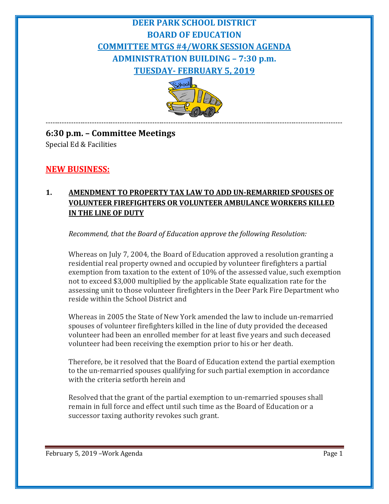# **DEER PARK SCHOOL DISTRICT BOARD OF EDUCATION COMMITTEE MTGS #4/WORK SESSION AGENDA ADMINISTRATION BUILDING – 7:30 p.m. TUESDAY- FEBRUARY 5, 2019**



-------------------------------------------------------------------------------------------------------------------------------- **6:30 p.m. – Committee Meetings** Special Ed & Facilities

## **NEW BUSINESS:**

### **1. AMENDMENT TO PROPERTY TAX LAW TO ADD UN-REMARRIED SPOUSES OF VOLUNTEER FIREFIGHTERS OR VOLUNTEER AMBULANCE WORKERS KILLED IN THE LINE OF DUTY**

*Recommend, that the Board of Education approve the following Resolution:*

Whereas on July 7, 2004, the Board of Education approved a resolution granting a residential real property owned and occupied by volunteer firefighters a partial exemption from taxation to the extent of 10% of the assessed value, such exemption not to exceed \$3,000 multiplied by the applicable State equalization rate for the assessing unit to those volunteer firefighters in the Deer Park Fire Department who reside within the School District and

Whereas in 2005 the State of New York amended the law to include un-remarried spouses of volunteer firefighters killed in the line of duty provided the deceased volunteer had been an enrolled member for at least five years and such deceased volunteer had been receiving the exemption prior to his or her death.

Therefore, be it resolved that the Board of Education extend the partial exemption to the un-remarried spouses qualifying for such partial exemption in accordance with the criteria setforth herein and

Resolved that the grant of the partial exemption to un-remarried spouses shall remain in full force and effect until such time as the Board of Education or a successor taxing authority revokes such grant.